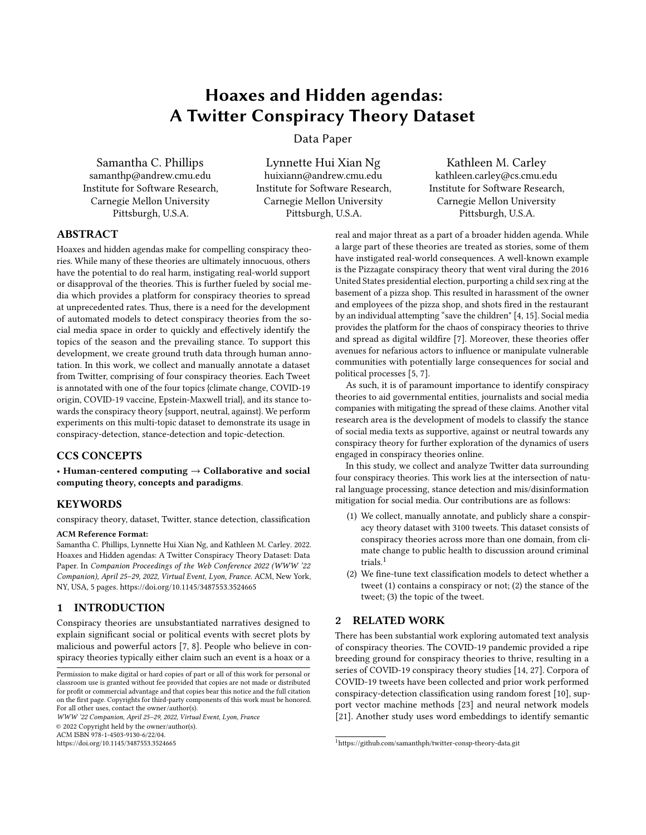# Hoaxes and Hidden agendas: A Twitter Conspiracy Theory Dataset

Data Paper

Samantha C. Phillips samanthp@andrew.cmu.edu Institute for Software Research, Carnegie Mellon University Pittsburgh, U.S.A.

Lynnette Hui Xian Ng huixiann@andrew.cmu.edu Institute for Software Research, Carnegie Mellon University Pittsburgh, U.S.A.

Kathleen M. Carley kathleen.carley@cs.cmu.edu Institute for Software Research, Carnegie Mellon University Pittsburgh, U.S.A.

## ABSTRACT

Hoaxes and hidden agendas make for compelling conspiracy theories. While many of these theories are ultimately innocuous, others have the potential to do real harm, instigating real-world support or disapproval of the theories. This is further fueled by social media which provides a platform for conspiracy theories to spread at unprecedented rates. Thus, there is a need for the development of automated models to detect conspiracy theories from the social media space in order to quickly and effectively identify the topics of the season and the prevailing stance. To support this development, we create ground truth data through human annotation. In this work, we collect and manually annotate a dataset from Twitter, comprising of four conspiracy theories. Each Tweet is annotated with one of the four topics {climate change, COVID-19 origin, COVID-19 vaccine, Epstein-Maxwell trial}, and its stance towards the conspiracy theory {support, neutral, against}. We perform experiments on this multi-topic dataset to demonstrate its usage in conspiracy-detection, stance-detection and topic-detection.

## CCS CONCEPTS

• Human-centered computing  $\rightarrow$  Collaborative and social computing theory, concepts and paradigms.

## KEYWORDS

conspiracy theory, dataset, Twitter, stance detection, classification

## ACM Reference Format:

Samantha C. Phillips, Lynnette Hui Xian Ng, and Kathleen M. Carley. 2022. Hoaxes and Hidden agendas: A Twitter Conspiracy Theory Dataset: Data Paper. In Companion Proceedings of the Web Conference 2022 (WWW '22 Companion), April 25–29, 2022, Virtual Event, Lyon, France. ACM, New York, NY, USA, [5](#page-4-0) pages.<https://doi.org/10.1145/3487553.3524665>

## 1 INTRODUCTION

Conspiracy theories are unsubstantiated narratives designed to explain significant social or political events with secret plots by malicious and powerful actors [\[7,](#page-4-1) [8\]](#page-4-2). People who believe in conspiracy theories typically either claim such an event is a hoax or a

WWW '22 Companion, April 25–29, 2022, Virtual Event, Lyon, France © 2022 Copyright held by the owner/author(s). ACM ISBN 978-1-4503-9130-6/22/04.

<https://doi.org/10.1145/3487553.3524665>

real and major threat as a part of a broader hidden agenda. While a large part of these theories are treated as stories, some of them have instigated real-world consequences. A well-known example is the Pizzagate conspiracy theory that went viral during the 2016 United States presidential election, purporting a child sex ring at the basement of a pizza shop. This resulted in harassment of the owner and employees of the pizza shop, and shots fired in the restaurant by an individual attempting "save the children" [\[4,](#page-4-3) [15\]](#page-4-4). Social media provides the platform for the chaos of conspiracy theories to thrive and spread as digital wildfire [\[7\]](#page-4-1). Moreover, these theories offer avenues for nefarious actors to influence or manipulate vulnerable communities with potentially large consequences for social and political processes [\[5,](#page-4-5) [7\]](#page-4-1).

As such, it is of paramount importance to identify conspiracy theories to aid governmental entities, journalists and social media companies with mitigating the spread of these claims. Another vital research area is the development of models to classify the stance of social media texts as supportive, against or neutral towards any conspiracy theory for further exploration of the dynamics of users engaged in conspiracy theories online.

In this study, we collect and analyze Twitter data surrounding four conspiracy theories. This work lies at the intersection of natural language processing, stance detection and mis/disinformation mitigation for social media. Our contributions are as follows:

- (1) We collect, manually annotate, and publicly share a conspiracy theory dataset with 3100 tweets. This dataset consists of conspiracy theories across more than one domain, from climate change to public health to discussion around criminal trials.<sup>[1](#page-0-0)</sup>
- (2) We fine-tune text classification models to detect whether a tweet (1) contains a conspiracy or not; (2) the stance of the tweet; (3) the topic of the tweet.

## 2 RELATED WORK

There has been substantial work exploring automated text analysis of conspiracy theories. The COVID-19 pandemic provided a ripe breeding ground for conspiracy theories to thrive, resulting in a series of COVID-19 conspiracy theory studies [\[14,](#page-4-6) [27\]](#page-4-7). Corpora of COVID-19 tweets have been collected and prior work performed conspiracy-detection classification using random forest [\[10\]](#page-4-8), support vector machine methods [\[23\]](#page-4-9) and neural network models [\[21\]](#page-4-10). Another study uses word embeddings to identify semantic

Permission to make digital or hard copies of part or all of this work for personal or classroom use is granted without fee provided that copies are not made or distributed for profit or commercial advantage and that copies bear this notice and the full citation on the first page. Copyrights for third-party components of this work must be honored. For all other uses, contact the owner/author(s).

<span id="page-0-0"></span><sup>1</sup>https://github.com/samanthph/twitter-consp-theory-data.git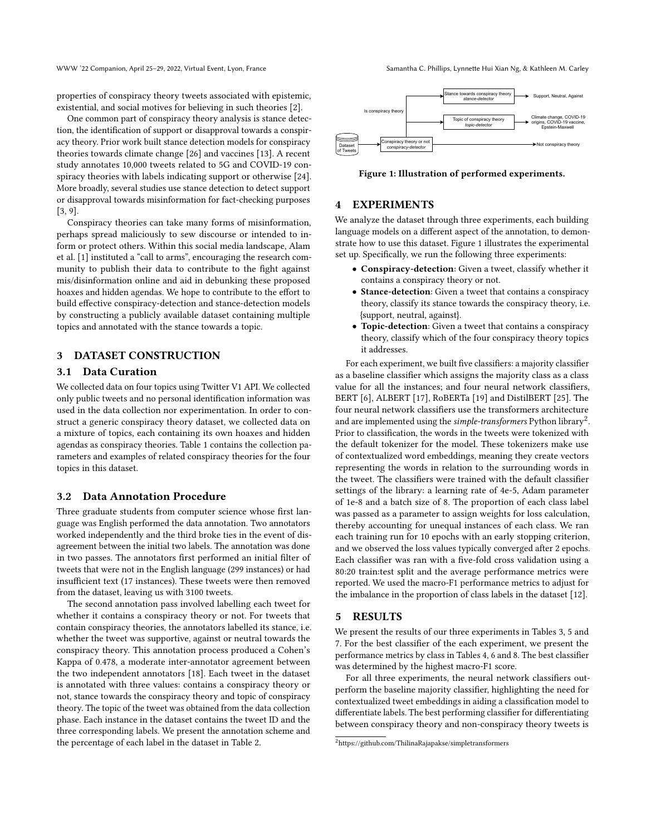properties of conspiracy theory tweets associated with epistemic, existential, and social motives for believing in such theories [\[2\]](#page-4-11).

One common part of conspiracy theory analysis is stance detection, the identification of support or disapproval towards a conspiracy theory. Prior work built stance detection models for conspiracy theories towards climate change [\[26\]](#page-4-12) and vaccines [\[13\]](#page-4-13). A recent study annotates 10,000 tweets related to 5G and COVID-19 conspiracy theories with labels indicating support or otherwise [\[24\]](#page-4-14). More broadly, several studies use stance detection to detect support or disapproval towards misinformation for fact-checking purposes [\[3,](#page-4-15) [9\]](#page-4-16).

Conspiracy theories can take many forms of misinformation, perhaps spread maliciously to sew discourse or intended to inform or protect others. Within this social media landscape, Alam et al. [\[1\]](#page-4-17) instituted a "call to arms", encouraging the research community to publish their data to contribute to the fight against mis/disinformation online and aid in debunking these proposed hoaxes and hidden agendas. We hope to contribute to the effort to build effective conspiracy-detection and stance-detection models by constructing a publicly available dataset containing multiple topics and annotated with the stance towards a topic.

### 3 DATASET CONSTRUCTION

#### 3.1 Data Curation

We collected data on four topics using Twitter V1 API. We collected only public tweets and no personal identification information was used in the data collection nor experimentation. In order to construct a generic conspiracy theory dataset, we collected data on a mixture of topics, each containing its own hoaxes and hidden agendas as conspiracy theories. Table [1](#page-2-0) contains the collection parameters and examples of related conspiracy theories for the four topics in this dataset.

#### 3.2 Data Annotation Procedure

Three graduate students from computer science whose first language was English performed the data annotation. Two annotators worked independently and the third broke ties in the event of disagreement between the initial two labels. The annotation was done in two passes. The annotators first performed an initial filter of tweets that were not in the English language (299 instances) or had insufficient text (17 instances). These tweets were then removed from the dataset, leaving us with 3100 tweets.

The second annotation pass involved labelling each tweet for whether it contains a conspiracy theory or not. For tweets that contain conspiracy theories, the annotators labelled its stance, i.e. whether the tweet was supportive, against or neutral towards the conspiracy theory. This annotation process produced a Cohen's Kappa of 0.478, a moderate inter-annotator agreement between the two independent annotators [\[18\]](#page-4-18). Each tweet in the dataset is annotated with three values: contains a conspiracy theory or not, stance towards the conspiracy theory and topic of conspiracy theory. The topic of the tweet was obtained from the data collection phase. Each instance in the dataset contains the tweet ID and the three corresponding labels. We present the annotation scheme and the percentage of each label in the dataset in Table [2.](#page-2-1)

<span id="page-1-0"></span>

Figure 1: Illustration of performed experiments.

#### 4 EXPERIMENTS

We analyze the dataset through three experiments, each building language models on a different aspect of the annotation, to demonstrate how to use this dataset. Figure [1](#page-1-0) illustrates the experimental set up. Specifically, we run the following three experiments:

- Conspiracy-detection: Given a tweet, classify whether it contains a conspiracy theory or not.
- Stance-detection: Given a tweet that contains a conspiracy theory, classify its stance towards the conspiracy theory, i.e. {support, neutral, against}.
- Topic-detection: Given a tweet that contains a conspiracy theory, classify which of the four conspiracy theory topics it addresses.

For each experiment, we built five classifiers: a majority classifier as a baseline classifier which assigns the majority class as a class value for all the instances; and four neural network classifiers, BERT [\[6\]](#page-4-19), ALBERT [\[17\]](#page-4-20), RoBERTa [\[19\]](#page-4-21) and DistilBERT [\[25\]](#page-4-22). The four neural network classifiers use the transformers architecture and are implemented using the simple-transformers Python library<sup>[2](#page-1-1)</sup>. Prior to classification, the words in the tweets were tokenized with the default tokenizer for the model. These tokenizers make use of contextualized word embeddings, meaning they create vectors representing the words in relation to the surrounding words in the tweet. The classifiers were trained with the default classifier settings of the library: a learning rate of 4e-5, Adam parameter of 1e-8 and a batch size of 8. The proportion of each class label was passed as a parameter to assign weights for loss calculation, thereby accounting for unequal instances of each class. We ran each training run for 10 epochs with an early stopping criterion, and we observed the loss values typically converged after 2 epochs. Each classifier was ran with a five-fold cross validation using a 80:20 train:test split and the average performance metrics were reported. We used the macro-F1 performance metrics to adjust for the imbalance in the proportion of class labels in the dataset [\[12\]](#page-4-23).

#### 5 RESULTS

We present the results of our three experiments in Tables [3, 5](#page-3-0) and [7.](#page-3-0) For the best classifier of the each experiment, we present the performance metrics by class in Tables [4, 6](#page-3-0) and [8.](#page-3-0) The best classifier was determined by the highest macro-F1 score.

For all three experiments, the neural network classifiers outperform the baseline majority classifier, highlighting the need for contextualized tweet embeddings in aiding a classification model to differentiate labels. The best performing classifier for differentiating between conspiracy theory and non-conspiracy theory tweets is

<span id="page-1-1"></span><sup>2</sup><https://github.com/ThilinaRajapakse/simpletransformers>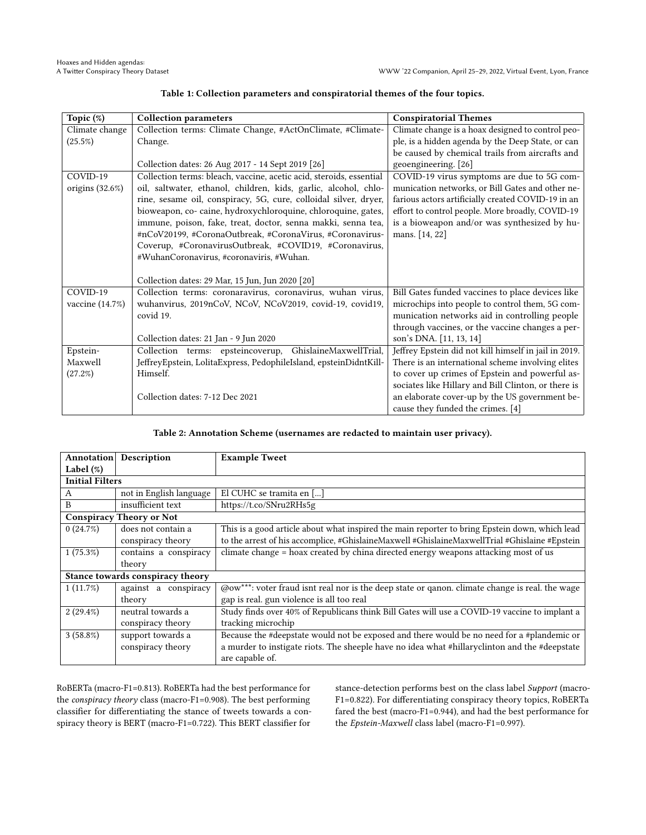<span id="page-2-0"></span>

| Topic (%)          | <b>Collection parameters</b>                                        | <b>Conspiratorial Themes</b>                          |
|--------------------|---------------------------------------------------------------------|-------------------------------------------------------|
| Climate change     | Collection terms: Climate Change, #ActOnClimate, #Climate-          | Climate change is a hoax designed to control peo-     |
| (25.5%)            | Change.                                                             | ple, is a hidden agenda by the Deep State, or can     |
|                    |                                                                     | be caused by chemical trails from aircrafts and       |
|                    | Collection dates: 26 Aug 2017 - 14 Sept 2019 [26]                   | geoengineering. [26]                                  |
| COVID-19           | Collection terms: bleach, vaccine, acetic acid, steroids, essential | COVID-19 virus symptoms are due to 5G com-            |
| origins $(32.6\%)$ | oil, saltwater, ethanol, children, kids, garlic, alcohol, chlo-     | munication networks, or Bill Gates and other ne-      |
|                    | rine, sesame oil, conspiracy, 5G, cure, colloidal silver, dryer,    | farious actors artificially created COVID-19 in an    |
|                    | bioweapon, co- caine, hydroxychloroquine, chloroquine, gates,       | effort to control people. More broadly, COVID-19      |
|                    | immune, poison, fake, treat, doctor, senna makki, senna tea,        | is a bioweapon and/or was synthesized by hu-          |
|                    | #nCoV20199, #CoronaOutbreak, #CoronaVirus, #Coronavirus-            | mans. [14, 22]                                        |
|                    | Coverup, #CoronavirusOutbreak, #COVID19, #Coronavirus,              |                                                       |
|                    | #WuhanCoronavirus, #coronaviris, #Wuhan.                            |                                                       |
|                    |                                                                     |                                                       |
|                    | Collection dates: 29 Mar, 15 Jun, Jun 2020 [20]                     |                                                       |
| COVID-19           | Collection terms: coronaravirus, coronavirus, wuhan virus,          | Bill Gates funded vaccines to place devices like      |
| vaccine (14.7%)    | wuhanvirus, 2019nCoV, NCoV, NCoV2019, covid-19, covid19,            | microchips into people to control them, 5G com-       |
|                    | covid 19.                                                           | munication networks aid in controlling people         |
|                    |                                                                     | through vaccines, or the vaccine changes a per-       |
|                    | Collection dates: 21 Jan - 9 Jun 2020                               | son's DNA. [11, 13, 14]                               |
| Epstein-           | Collection terms: epsteincoverup,<br>GhislaineMaxwellTrial,         | Jeffrey Epstein did not kill himself in jail in 2019. |
| Maxwell            | JeffreyEpstein, LolitaExpress, PedophileIsland, epsteinDidntKill-   | There is an international scheme involving elites     |
| (27.2%)            | Himself.                                                            | to cover up crimes of Epstein and powerful as-        |
|                    |                                                                     | sociates like Hillary and Bill Clinton, or there is   |
|                    | Collection dates: 7-12 Dec 2021                                     | an elaborate cover-up by the US government be-        |
|                    |                                                                     | cause they funded the crimes. [4]                     |

#### Table 1: Collection parameters and conspiratorial themes of the four topics.

#### Table 2: Annotation Scheme (usernames are redacted to maintain user privacy).

<span id="page-2-1"></span>

| Annotation             | Description                      | <b>Example Tweet</b>                                                                           |
|------------------------|----------------------------------|------------------------------------------------------------------------------------------------|
| Label $(\%)$           |                                  |                                                                                                |
| <b>Initial Filters</b> |                                  |                                                                                                |
| А                      | not in English language          | El CUHC se tramita en []                                                                       |
| B                      | insufficient text                | https://t.co/SNru2RHs5g                                                                        |
|                        | <b>Conspiracy Theory or Not</b>  |                                                                                                |
| 0(24.7%)               | does not contain a               | This is a good article about what inspired the main reporter to bring Epstein down, which lead |
|                        | conspiracy theory                | to the arrest of his accomplice, #GhislaineMaxwell #GhislaineMaxwellTrial #Ghislaine #Epstein  |
| 1(75.3%)               | contains a conspiracy            | climate change = hoax created by china directed energy weapons attacking most of us            |
|                        | theory                           |                                                                                                |
|                        | Stance towards conspiracy theory |                                                                                                |
| $1(11.7\%)$            | against a conspiracy             | @ow***: voter fraud isnt real nor is the deep state or qanon. climate change is real. the wage |
|                        | theory                           | gap is real. gun violence is all too real                                                      |
| $2(29.4\%)$            | neutral towards a                | Study finds over 40% of Republicans think Bill Gates will use a COVID-19 vaccine to implant a  |
|                        | conspiracy theory                | tracking microchip                                                                             |
| $3(58.8\%)$            | support towards a                | Because the #deepstate would not be exposed and there would be no need for a #plandemic or     |
|                        | conspiracy theory                | a murder to instigate riots. The sheeple have no idea what #hillaryclinton and the #deepstate  |
|                        |                                  | are capable of.                                                                                |

RoBERTa (macro-F1=0.813). RoBERTa had the best performance for the conspiracy theory class (macro-F1=0.908). The best performing classifier for differentiating the stance of tweets towards a conspiracy theory is BERT (macro-F1=0.722). This BERT classifier for

stance-detection performs best on the class label Support (macro-F1=0.822). For differentiating conspiracy theory topics, RoBERTa fared the best (macro-F1=0.944), and had the best performance for the Epstein-Maxwell class label (macro-F1=0.997).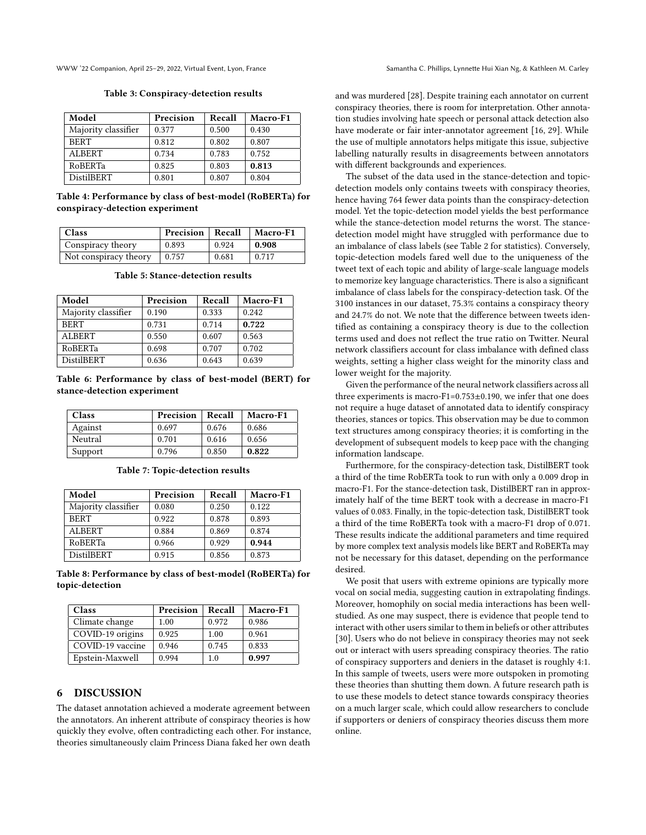<span id="page-3-0"></span>WWW '22 Companion, April 25–29, 2022, Virtual Event, Lyon, France Samantha C. Phillips, Lynnette Hui Xian Ng, & Kathleen M. Carley

#### Table 3: Conspiracy-detection results

| Model               | Precision | Recall | Macro-F1 |
|---------------------|-----------|--------|----------|
| Majority classifier | 0.377     | 0.500  | 0.430    |
| <b>BERT</b>         | 0.812     | 0.802  | 0.807    |
| <b>ALBERT</b>       | 0.734     | 0.783  | 0.752    |
| <b>RoBERTa</b>      | 0.825     | 0.803  | 0.813    |
| <b>DistilBERT</b>   | 0.801     | 0.807  | 0.804    |

#### Table 4: Performance by class of best-model (RoBERTa) for conspiracy-detection experiment

| <b>Class</b>          | <b>Precision</b>   Recall |       | <b>Macro-F1</b> |
|-----------------------|---------------------------|-------|-----------------|
| Conspiracy theory     | 0.893                     | 0.924 | 0.908           |
| Not conspiracy theory | 0.757                     | 0.681 | 0.717           |

Table 5: Stance-detection results

| Model               | Precision | <b>Recall</b> | Macro-F1 |
|---------------------|-----------|---------------|----------|
| Majority classifier | 0.190     | 0.333         | 0.242    |
| <b>BERT</b>         | 0.731     | 0.714         | 0.722    |
| <b>ALBERT</b>       | 0.550     | 0.607         | 0.563    |
| <b>RoBERTa</b>      | 0.698     | 0.707         | 0.702    |
| <b>DistilBERT</b>   | 0.636     | 0.643         | 0.639    |

Table 6: Performance by class of best-model (BERT) for stance-detection experiment

| <b>Class</b> | Precision | Recall | Macro-F1 |
|--------------|-----------|--------|----------|
| Against      | 0.697     | 0.676  | 0.686    |
| Neutral      | 0.701     | 0.616  | 0.656    |
| Support      | 0.796     | 0.850  | 0.822    |

Table 7: Topic-detection results

| Model               | Precision | Recall | Macro-F1 |
|---------------------|-----------|--------|----------|
| Majority classifier | 0.080     | 0.250  | 0.122    |
| <b>BERT</b>         | 0.922     | 0.878  | 0.893    |
| <b>ALBERT</b>       | 0.884     | 0.869  | 0.874    |
| <b>RoBERTa</b>      | 0.966     | 0.929  | 0.944    |
| <b>DistilBERT</b>   | 0.915     | 0.856  | 0.873    |

Table 8: Performance by class of best-model (RoBERTa) for topic-detection

| Class            | Precision | Recall | Macro-F1 |
|------------------|-----------|--------|----------|
| Climate change   | 1.00      | 0.972  | 0.986    |
| COVID-19 origins | 0.925     | 1.00   | 0.961    |
| COVID-19 vaccine | 0.946     | 0.745  | 0.833    |
| Epstein-Maxwell  | 0.994     | 1.0    | 0.997    |

#### 6 DISCUSSION

The dataset annotation achieved a moderate agreement between the annotators. An inherent attribute of conspiracy theories is how quickly they evolve, often contradicting each other. For instance, theories simultaneously claim Princess Diana faked her own death

and was murdered [\[28\]](#page-4-27). Despite training each annotator on current conspiracy theories, there is room for interpretation. Other annotation studies involving hate speech or personal attack detection also have moderate or fair inter-annotator agreement [\[16,](#page-4-28) [29\]](#page-4-29). While the use of multiple annotators helps mitigate this issue, subjective labelling naturally results in disagreements between annotators with different backgrounds and experiences.

The subset of the data used in the stance-detection and topicdetection models only contains tweets with conspiracy theories, hence having 764 fewer data points than the conspiracy-detection model. Yet the topic-detection model yields the best performance while the stance-detection model returns the worst. The stancedetection model might have struggled with performance due to an imbalance of class labels (see Table [2](#page-2-1) for statistics). Conversely, topic-detection models fared well due to the uniqueness of the tweet text of each topic and ability of large-scale language models to memorize key language characteristics. There is also a significant imbalance of class labels for the conspiracy-detection task. Of the 3100 instances in our dataset, 75.3% contains a conspiracy theory and 24.7% do not. We note that the difference between tweets identified as containing a conspiracy theory is due to the collection terms used and does not reflect the true ratio on Twitter. Neural network classifiers account for class imbalance with defined class weights, setting a higher class weight for the minority class and lower weight for the majority.

Given the performance of the neural network classifiers across all three experiments is macro-F1=0.753±0.190, we infer that one does not require a huge dataset of annotated data to identify conspiracy theories, stances or topics. This observation may be due to common text structures among conspiracy theories; it is comforting in the development of subsequent models to keep pace with the changing information landscape.

Furthermore, for the conspiracy-detection task, DistilBERT took a third of the time RobERTa took to run with only a 0.009 drop in macro-F1. For the stance-detection task, DistilBERT ran in approximately half of the time BERT took with a decrease in macro-F1 values of 0.083. Finally, in the topic-detection task, DistilBERT took a third of the time RoBERTa took with a macro-F1 drop of 0.071. These results indicate the additional parameters and time required by more complex text analysis models like BERT and RoBERTa may not be necessary for this dataset, depending on the performance desired.

We posit that users with extreme opinions are typically more vocal on social media, suggesting caution in extrapolating findings. Moreover, homophily on social media interactions has been wellstudied. As one may suspect, there is evidence that people tend to interact with other users similar to them in beliefs or other attributes [\[30\]](#page-4-30). Users who do not believe in conspiracy theories may not seek out or interact with users spreading conspiracy theories. The ratio of conspiracy supporters and deniers in the dataset is roughly 4:1. In this sample of tweets, users were more outspoken in promoting these theories than shutting them down. A future research path is to use these models to detect stance towards conspiracy theories on a much larger scale, which could allow researchers to conclude if supporters or deniers of conspiracy theories discuss them more online.